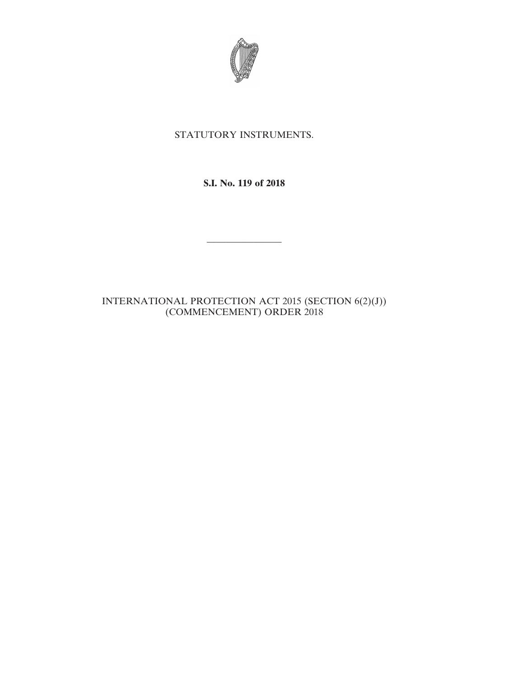

# STATUTORY INSTRUMENTS.

## **S.I. No. 119 of 2018**

————————

## INTERNATIONAL PROTECTION ACT 2015 (SECTION 6(2)(J)) (COMMENCEMENT) ORDER 2018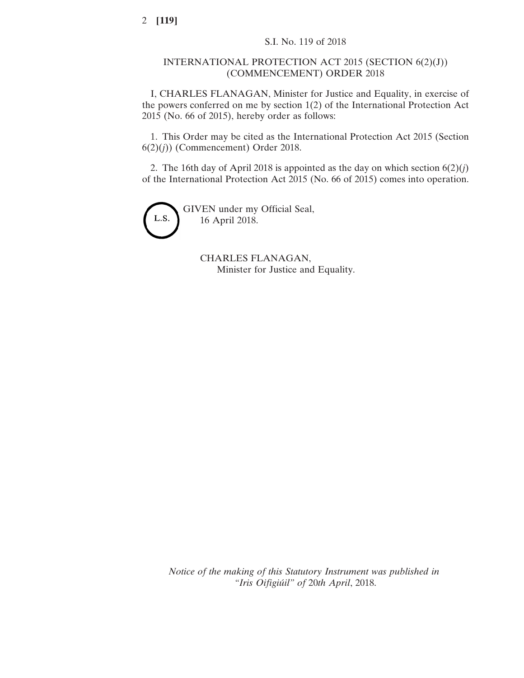#### INTERNATIONAL PROTECTION ACT 2015 (SECTION 6(2)(J)) (COMMENCEMENT) ORDER 2018

I, CHARLES FLANAGAN, Minister for Justice and Equality, in exercise of the powers conferred on me by section 1(2) of the International Protection Act 2015 (No. 66 of 2015), hereby order as follows:

1. This Order may be cited as the International Protection Act 2015 (Section 6(2)(*j*)) (Commencement) Order 2018.

2. The 16th day of April 2018 is appointed as the day on which section  $6(2)(*j*)$ of the International Protection Act 2015 (No. 66 of 2015) comes into operation.



GIVEN under my Official Seal, 16 April 2018.

> CHARLES FLANAGAN, Minister for Justice and Equality.

*Notice of the making of this Statutory Instrument was published in "Iris Oifigiúil" of* 20*th April*, 2018.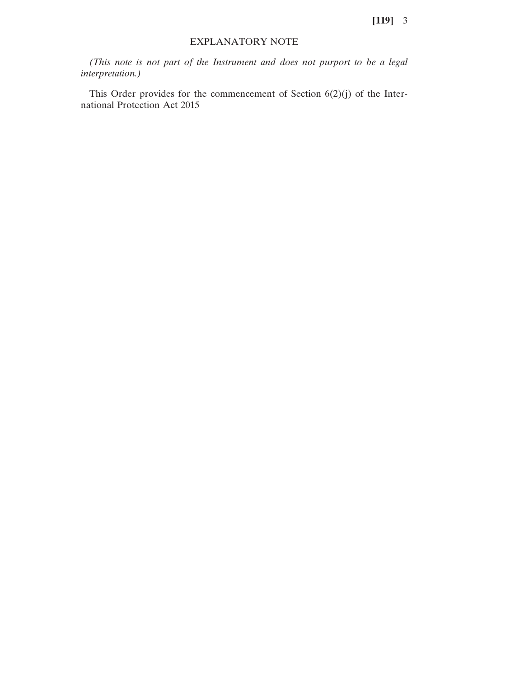#### EXPLANATORY NOTE

*(This note is not part of the Instrument and does not purport to be a legal interpretation.)*

This Order provides for the commencement of Section 6(2)(j) of the International Protection Act 2015